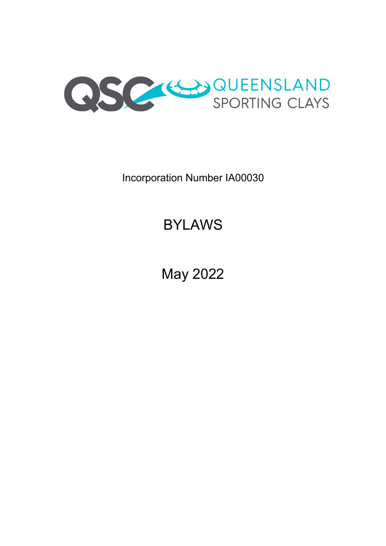

Incorporation Number IA00030

# BYLAWS

May 2022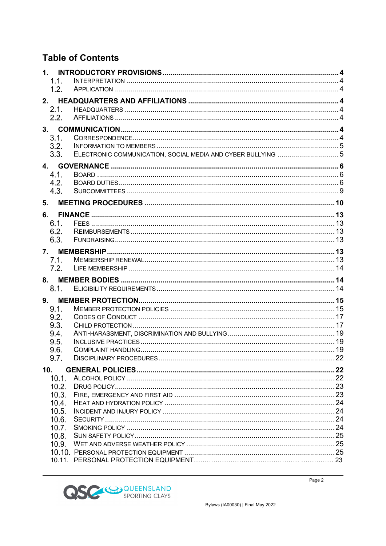# **Table of Contents**

| 1.             |                                                             |     |
|----------------|-------------------------------------------------------------|-----|
| 1.1.           |                                                             |     |
| 1.2.           |                                                             |     |
|                |                                                             |     |
| 2.1.           |                                                             |     |
| 2.2.           |                                                             |     |
| 3 <sub>1</sub> |                                                             |     |
| 3.1.           |                                                             |     |
| 3.2.<br>3.3.   | ELECTRONIC COMMUNICATION, SOCIAL MEDIA AND CYBER BULLYING 5 |     |
|                |                                                             |     |
| 4.             |                                                             |     |
| 4.1.<br>4.2.   |                                                             |     |
| 4.3.           |                                                             |     |
| 5.             |                                                             |     |
|                |                                                             |     |
| 6.             |                                                             |     |
| 6.1.<br>6.2.   |                                                             |     |
| 6.3.           |                                                             |     |
| 7.             |                                                             |     |
| 7.1.           |                                                             |     |
| 7.2.           |                                                             |     |
|                |                                                             |     |
| 8.1.           |                                                             |     |
| 9.             |                                                             |     |
| 9.1.           |                                                             |     |
| 9.2.           |                                                             |     |
| 9.3.           |                                                             |     |
| 9.4.           |                                                             |     |
| 9.5.<br>9.6.   |                                                             |     |
| 9.7            |                                                             | .22 |
|                |                                                             |     |
| 10.<br>10.1.   |                                                             |     |
| 10.2.          |                                                             |     |
| 10.3.          |                                                             |     |
| 10.4.          |                                                             |     |
| 10.5.          |                                                             |     |
| 10.6.<br>10.7. |                                                             |     |
| 10.8.          |                                                             |     |
| 10.9.          |                                                             |     |
|                |                                                             |     |
|                |                                                             |     |

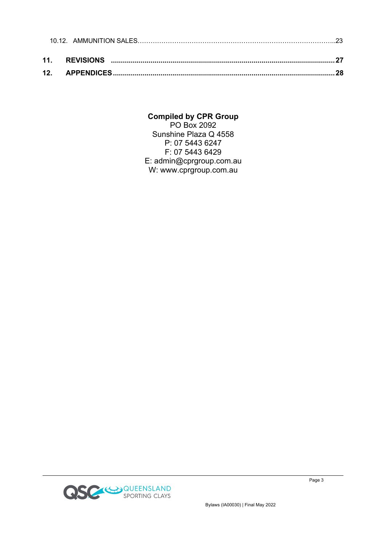### **Compiled by CPR Group**

PO Box 2092 Sunshine Plaza Q 4558 P: 07 5443 6247 F: 07 5443 6429 E: admin@cprgroup.com.au W: www.cprgroup.com.au

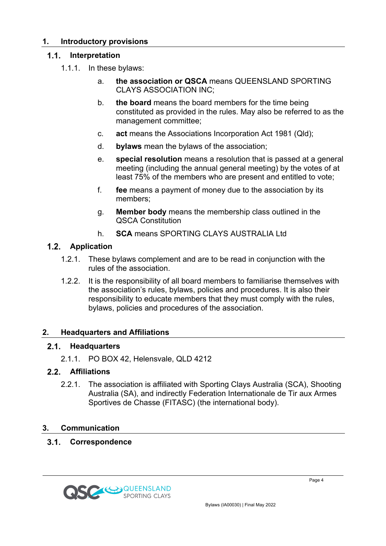#### **1. Introductory provisions**

#### **Interpretation**  $1.1.$

- 1.1.1. In these bylaws:
	- a. **the association or QSCA** means QUEENSLAND SPORTING CLAYS ASSOCIATION INC;
	- b. **the board** means the board members for the time being constituted as provided in the rules. May also be referred to as the management committee;
	- c. **act** means the Associations Incorporation Act 1981 (Qld);
	- d. **bylaws** mean the bylaws of the association;
	- e. **special resolution** means a resolution that is passed at a general meeting (including the annual general meeting) by the votes of at least 75% of the members who are present and entitled to vote;
	- f. **fee** means a payment of money due to the association by its members;
	- g. **Member body** means the membership class outlined in the QSCA Constitution
	- h. **SCA** means SPORTING CLAYS AUSTRALIA Ltd

#### **Application**

- 1.2.1. These bylaws complement and are to be read in conjunction with the rules of the association.
- 1.2.2. It is the responsibility of all board members to familiarise themselves with the association's rules, bylaws, policies and procedures. It is also their responsibility to educate members that they must comply with the rules, bylaws, policies and procedures of the association.

#### **2. Headquarters and Affiliations**

#### $2.1.$ **Headquarters**

2.1.1. PO BOX 42, Helensvale, QLD 4212

#### **Affiliations**

2.2.1. The association is affiliated with Sporting Clays Australia (SCA), Shooting Australia (SA), and indirectly Federation Internationale de Tir aux Armes Sportives de Chasse (FITASC) (the international body).

#### **3. Communication**

#### $3.1.$ **Correspondence**

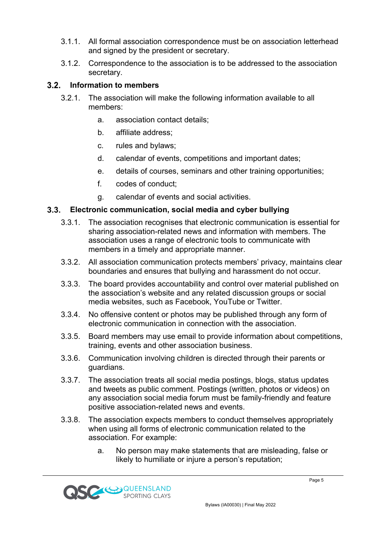- 3.1.1. All formal association correspondence must be on association letterhead and signed by the president or secretary.
- 3.1.2. Correspondence to the association is to be addressed to the association secretary.

### **Information to members**

- 3.2.1. The association will make the following information available to all members:
	- a. association contact details;
	- b. affiliate address;
	- c. rules and bylaws;
	- d. calendar of events, competitions and important dates;
	- e. details of courses, seminars and other training opportunities;
	- f. codes of conduct;
	- g. calendar of events and social activities.

#### $3.3.$ **Electronic communication, social media and cyber bullying**

- 3.3.1. The association recognises that electronic communication is essential for sharing association-related news and information with members. The association uses a range of electronic tools to communicate with members in a timely and appropriate manner.
- 3.3.2. All association communication protects members' privacy, maintains clear boundaries and ensures that bullying and harassment do not occur.
- 3.3.3. The board provides accountability and control over material published on the association's website and any related discussion groups or social media websites, such as Facebook, YouTube or Twitter.
- 3.3.4. No offensive content or photos may be published through any form of electronic communication in connection with the association.
- 3.3.5. Board members may use email to provide information about competitions, training, events and other association business.
- 3.3.6. Communication involving children is directed through their parents or guardians.
- 3.3.7. The association treats all social media postings, blogs, status updates and tweets as public comment. Postings (written, photos or videos) on any association social media forum must be family-friendly and feature positive association-related news and events.
- 3.3.8. The association expects members to conduct themselves appropriately when using all forms of electronic communication related to the association. For example:
	- a. No person may make statements that are misleading, false or likely to humiliate or injure a person's reputation;

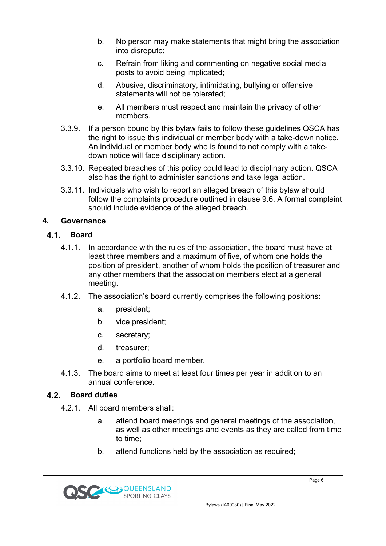- b. No person may make statements that might bring the association into disrepute;
- c. Refrain from liking and commenting on negative social media posts to avoid being implicated;
- d. Abusive, discriminatory, intimidating, bullying or offensive statements will not be tolerated;
- e. All members must respect and maintain the privacy of other members.
- 3.3.9. If a person bound by this bylaw fails to follow these guidelines QSCA has the right to issue this individual or member body with a take-down notice. An individual or member body who is found to not comply with a takedown notice will face disciplinary action.
- 3.3.10. Repeated breaches of this policy could lead to disciplinary action. QSCA also has the right to administer sanctions and take legal action.
- 3.3.11. Individuals who wish to report an alleged breach of this bylaw should follow the complaints procedure outlined in clause 9.6. A formal complaint should include evidence of the alleged breach.

# **4. Governance**

#### **Board**

- 4.1.1. In accordance with the rules of the association, the board must have at least three members and a maximum of five, of whom one holds the position of president, another of whom holds the position of treasurer and any other members that the association members elect at a general meeting.
- 4.1.2. The association's board currently comprises the following positions:
	- a. president;
	- b. vice president;
	- c. secretary;
	- d. treasurer;
	- e. a portfolio board member.
- 4.1.3. The board aims to meet at least four times per year in addition to an annual conference.

#### **Board duties**

- 4.2.1. All board members shall:
	- a. attend board meetings and general meetings of the association, as well as other meetings and events as they are called from time to time;
	- b. attend functions held by the association as required;

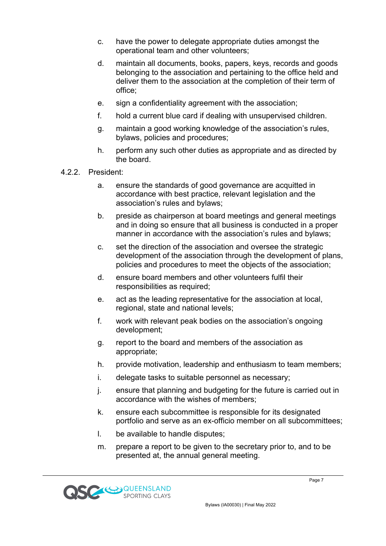- c. have the power to delegate appropriate duties amongst the operational team and other volunteers;
- d. maintain all documents, books, papers, keys, records and goods belonging to the association and pertaining to the office held and deliver them to the association at the completion of their term of office;
- e. sign a confidentiality agreement with the association;
- f. hold a current blue card if dealing with unsupervised children.
- g. maintain a good working knowledge of the association's rules, bylaws, policies and procedures;
- h. perform any such other duties as appropriate and as directed by the board.
- 4.2.2. President:
	- a. ensure the standards of good governance are acquitted in accordance with best practice, relevant legislation and the association's rules and bylaws;
	- b. preside as chairperson at board meetings and general meetings and in doing so ensure that all business is conducted in a proper manner in accordance with the association's rules and bylaws;
	- c. set the direction of the association and oversee the strategic development of the association through the development of plans, policies and procedures to meet the objects of the association;
	- d. ensure board members and other volunteers fulfil their responsibilities as required;
	- e. act as the leading representative for the association at local, regional, state and national levels;
	- f. work with relevant peak bodies on the association's ongoing development;
	- g. report to the board and members of the association as appropriate;
	- h. provide motivation, leadership and enthusiasm to team members;
	- i. delegate tasks to suitable personnel as necessary;
	- j. ensure that planning and budgeting for the future is carried out in accordance with the wishes of members;
	- k. ensure each subcommittee is responsible for its designated portfolio and serve as an ex-officio member on all subcommittees;
	- l. be available to handle disputes;
	- m. prepare a report to be given to the secretary prior to, and to be presented at, the annual general meeting.

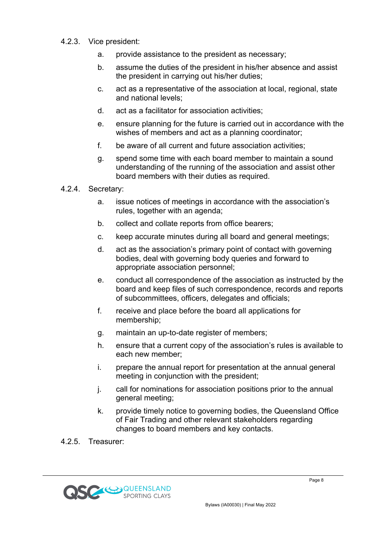#### 4.2.3. Vice president:

- a. provide assistance to the president as necessary;
- b. assume the duties of the president in his/her absence and assist the president in carrying out his/her duties;
- c. act as a representative of the association at local, regional, state and national levels;
- d. act as a facilitator for association activities;
- e. ensure planning for the future is carried out in accordance with the wishes of members and act as a planning coordinator;
- f. be aware of all current and future association activities;
- g. spend some time with each board member to maintain a sound understanding of the running of the association and assist other board members with their duties as required.
- 4.2.4. Secretary:
	- a. issue notices of meetings in accordance with the association's rules, together with an agenda;
	- b. collect and collate reports from office bearers;
	- c. keep accurate minutes during all board and general meetings;
	- d. act as the association's primary point of contact with governing bodies, deal with governing body queries and forward to appropriate association personnel;
	- e. conduct all correspondence of the association as instructed by the board and keep files of such correspondence, records and reports of subcommittees, officers, delegates and officials;
	- f. receive and place before the board all applications for membership;
	- g. maintain an up-to-date register of members;
	- h. ensure that a current copy of the association's rules is available to each new member;
	- i. prepare the annual report for presentation at the annual general meeting in conjunction with the president;
	- j. call for nominations for association positions prior to the annual general meeting;
	- k. provide timely notice to governing bodies, the Queensland Office of Fair Trading and other relevant stakeholders regarding changes to board members and key contacts.
- 4.2.5. Treasurer:

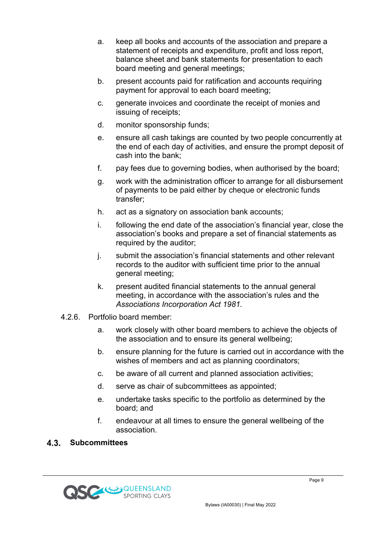- a. keep all books and accounts of the association and prepare a statement of receipts and expenditure, profit and loss report, balance sheet and bank statements for presentation to each board meeting and general meetings;
- b. present accounts paid for ratification and accounts requiring payment for approval to each board meeting;
- c. generate invoices and coordinate the receipt of monies and issuing of receipts;
- d. monitor sponsorship funds;
- e. ensure all cash takings are counted by two people concurrently at the end of each day of activities, and ensure the prompt deposit of cash into the bank;
- f. pay fees due to governing bodies, when authorised by the board;
- g. work with the administration officer to arrange for all disbursement of payments to be paid either by cheque or electronic funds transfer;
- h. act as a signatory on association bank accounts;
- i. following the end date of the association's financial year, close the association's books and prepare a set of financial statements as required by the auditor;
- j. submit the association's financial statements and other relevant records to the auditor with sufficient time prior to the annual general meeting;
- k. present audited financial statements to the annual general meeting, in accordance with the association's rules and the *Associations Incorporation Act 1981.*
- 4.2.6. Portfolio board member:
	- a. work closely with other board members to achieve the objects of the association and to ensure its general wellbeing;
	- b. ensure planning for the future is carried out in accordance with the wishes of members and act as planning coordinators;
	- c. be aware of all current and planned association activities;
	- d. serve as chair of subcommittees as appointed;
	- e. undertake tasks specific to the portfolio as determined by the board; and
	- f. endeavour at all times to ensure the general wellbeing of the association.

#### $4.3.$ **Subcommittees**

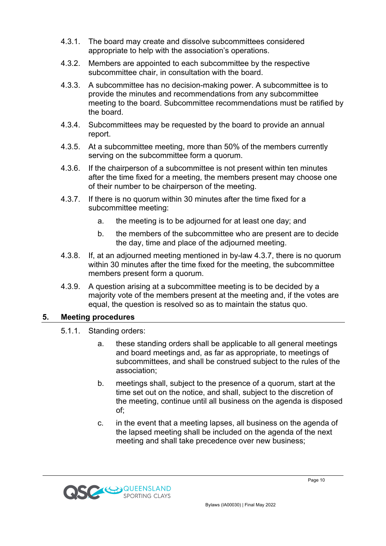- 4.3.1. The board may create and dissolve subcommittees considered appropriate to help with the association's operations.
- 4.3.2. Members are appointed to each subcommittee by the respective subcommittee chair, in consultation with the board.
- 4.3.3. A subcommittee has no decision-making power. A subcommittee is to provide the minutes and recommendations from any subcommittee meeting to the board. Subcommittee recommendations must be ratified by the board.
- 4.3.4. Subcommittees may be requested by the board to provide an annual report.
- 4.3.5. At a subcommittee meeting, more than 50% of the members currently serving on the subcommittee form a quorum.
- 4.3.6. If the chairperson of a subcommittee is not present within ten minutes after the time fixed for a meeting, the members present may choose one of their number to be chairperson of the meeting.
- 4.3.7. If there is no quorum within 30 minutes after the time fixed for a subcommittee meeting:
	- a. the meeting is to be adjourned for at least one day; and
	- b. the members of the subcommittee who are present are to decide the day, time and place of the adjourned meeting.
- 4.3.8. If, at an adjourned meeting mentioned in by-law 4.3.7, there is no quorum within 30 minutes after the time fixed for the meeting, the subcommittee members present form a quorum.
- 4.3.9. A question arising at a subcommittee meeting is to be decided by a majority vote of the members present at the meeting and, if the votes are equal, the question is resolved so as to maintain the status quo.

#### **5. Meeting procedures**

- 5.1.1. Standing orders:
	- a. these standing orders shall be applicable to all general meetings and board meetings and, as far as appropriate, to meetings of subcommittees, and shall be construed subject to the rules of the association;
	- b. meetings shall, subject to the presence of a quorum, start at the time set out on the notice, and shall, subject to the discretion of the meeting, continue until all business on the agenda is disposed of;
	- c. in the event that a meeting lapses, all business on the agenda of the lapsed meeting shall be included on the agenda of the next meeting and shall take precedence over new business;

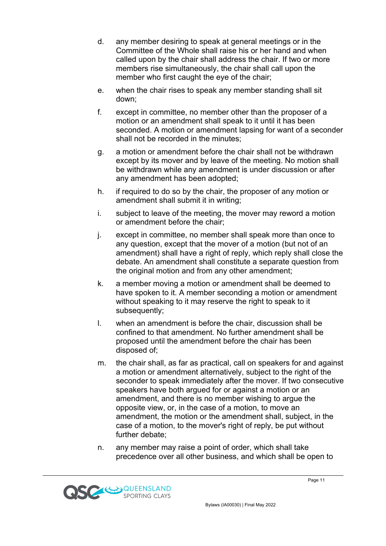- d. any member desiring to speak at general meetings or in the Committee of the Whole shall raise his or her hand and when called upon by the chair shall address the chair. If two or more members rise simultaneously, the chair shall call upon the member who first caught the eye of the chair;
- e. when the chair rises to speak any member standing shall sit down;
- f. except in committee, no member other than the proposer of a motion or an amendment shall speak to it until it has been seconded. A motion or amendment lapsing for want of a seconder shall not be recorded in the minutes;
- g. a motion or amendment before the chair shall not be withdrawn except by its mover and by leave of the meeting. No motion shall be withdrawn while any amendment is under discussion or after any amendment has been adopted;
- h. if required to do so by the chair, the proposer of any motion or amendment shall submit it in writing;
- i. subject to leave of the meeting, the mover may reword a motion or amendment before the chair;
- j. except in committee, no member shall speak more than once to any question, except that the mover of a motion (but not of an amendment) shall have a right of reply, which reply shall close the debate. An amendment shall constitute a separate question from the original motion and from any other amendment;
- k. a member moving a motion or amendment shall be deemed to have spoken to it. A member seconding a motion or amendment without speaking to it may reserve the right to speak to it subsequently;
- l. when an amendment is before the chair, discussion shall be confined to that amendment. No further amendment shall be proposed until the amendment before the chair has been disposed of;
- m. the chair shall, as far as practical, call on speakers for and against a motion or amendment alternatively, subject to the right of the seconder to speak immediately after the mover. If two consecutive speakers have both argued for or against a motion or an amendment, and there is no member wishing to argue the opposite view, or, in the case of a motion, to move an amendment, the motion or the amendment shall, subject, in the case of a motion, to the mover's right of reply, be put without further debate;
- n. any member may raise a point of order, which shall take precedence over all other business, and which shall be open to

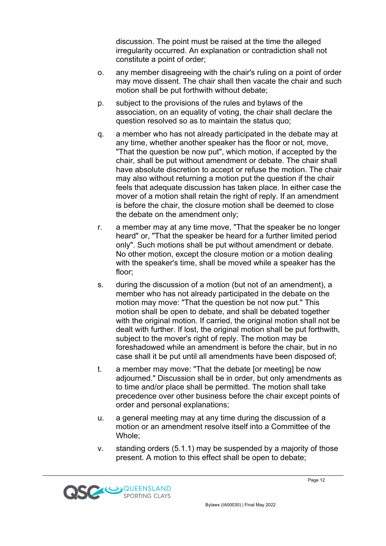discussion. The point must be raised at the time the alleged irregularity occurred. An explanation or contradiction shall not constitute a point of order;

- o. any member disagreeing with the chair's ruling on a point of order may move dissent. The chair shall then vacate the chair and such motion shall be put forthwith without debate;
- p. subject to the provisions of the rules and bylaws of the association, on an equality of voting, the chair shall declare the question resolved so as to maintain the status quo;
- q. a member who has not already participated in the debate may at any time, whether another speaker has the floor or not, move, "That the question be now put", which motion, if accepted by the chair, shall be put without amendment or debate. The chair shall have absolute discretion to accept or refuse the motion. The chair may also without returning a motion put the question if the chair feels that adequate discussion has taken place. In either case the mover of a motion shall retain the right of reply. If an amendment is before the chair, the closure motion shall be deemed to close the debate on the amendment only;
- r. a member may at any time move, "That the speaker be no longer heard" or, "That the speaker be heard for a further limited period only". Such motions shall be put without amendment or debate. No other motion, except the closure motion or a motion dealing with the speaker's time, shall be moved while a speaker has the floor;
- s. during the discussion of a motion (but not of an amendment), a member who has not already participated in the debate on the motion may move: "That the question be not now put." This motion shall be open to debate, and shall be debated together with the original motion. If carried, the original motion shall not be dealt with further. If lost, the original motion shall be put forthwith, subject to the mover's right of reply. The motion may be foreshadowed while an amendment is before the chair, but in no case shall it be put until all amendments have been disposed of;
- t. a member may move: "That the debate [or meeting] be now adjourned." Discussion shall be in order, but only amendments as to time and/or place shall be permitted. The motion shall take precedence over other business before the chair except points of order and personal explanations;
- u. a general meeting may at any time during the discussion of a motion or an amendment resolve itself into a Committee of the Whole;
- v. standing orders (5.1.1) may be suspended by a majority of those present. A motion to this effect shall be open to debate;

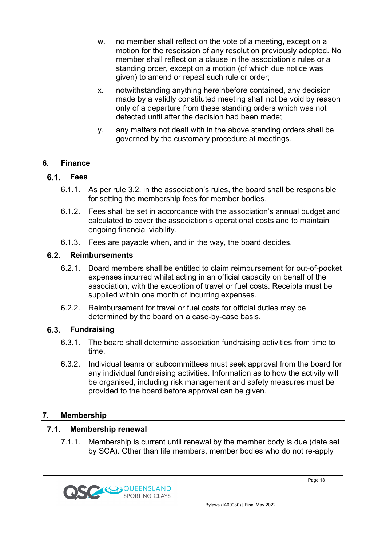- w. no member shall reflect on the vote of a meeting, except on a motion for the rescission of any resolution previously adopted. No member shall reflect on a clause in the association's rules or a standing order, except on a motion (of which due notice was given) to amend or repeal such rule or order;
- x. notwithstanding anything hereinbefore contained, any decision made by a validly constituted meeting shall not be void by reason only of a departure from these standing orders which was not detected until after the decision had been made;
- y. any matters not dealt with in the above standing orders shall be governed by the customary procedure at meetings.

### **6. Finance**

#### **Fees**

- 6.1.1. As per rule 3.2. in the association's rules, the board shall be responsible for setting the membership fees for member bodies.
- 6.1.2. Fees shall be set in accordance with the association's annual budget and calculated to cover the association's operational costs and to maintain ongoing financial viability.
- 6.1.3. Fees are payable when, and in the way, the board decides.

#### **Reimbursements**

- 6.2.1. Board members shall be entitled to claim reimbursement for out-of-pocket expenses incurred whilst acting in an official capacity on behalf of the association, with the exception of travel or fuel costs. Receipts must be supplied within one month of incurring expenses.
- 6.2.2. Reimbursement for travel or fuel costs for official duties may be determined by the board on a case-by-case basis.

#### **Fundraising**

- 6.3.1. The board shall determine association fundraising activities from time to time.
- 6.3.2. Individual teams or subcommittees must seek approval from the board for any individual fundraising activities. Information as to how the activity will be organised, including risk management and safety measures must be provided to the board before approval can be given.

#### **7. Membership**

#### $7.1.$ **Membership renewal**

7.1.1. Membership is current until renewal by the member body is due (date set by SCA). Other than life members, member bodies who do not re-apply

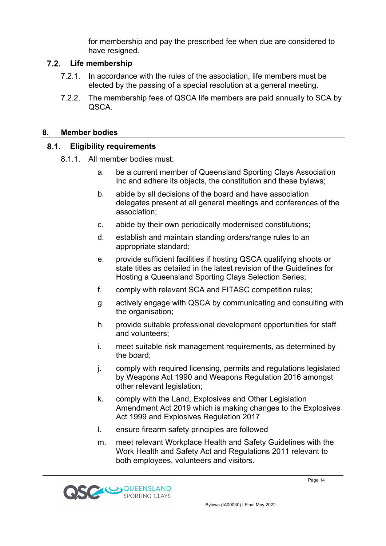for membership and pay the prescribed fee when due are considered to have resigned.

#### **Life membership**

- 7.2.1. In accordance with the rules of the association, life members must be elected by the passing of a special resolution at a general meeting.
- 7.2.2. The membership fees of QSCA life members are paid annually to SCA by QSCA.

#### **8. Member bodies**

#### $8.1.$ **Eligibility requirements**

- 8.1.1. All member bodies must:
	- a. be a current member of Queensland Sporting Clays Association Inc and adhere its objects, the constitution and these bylaws;
	- b. abide by all decisions of the board and have association delegates present at all general meetings and conferences of the association;
	- c. abide by their own periodically modernised constitutions;
	- d. establish and maintain standing orders/range rules to an appropriate standard;
	- e. provide sufficient facilities if hosting QSCA qualifying shoots or state titles as detailed in the latest revision of the Guidelines for Hosting a Queensland Sporting Clays Selection Series;
	- f. comply with relevant SCA and FITASC competition rules;
	- g. actively engage with QSCA by communicating and consulting with the organisation;
	- h. provide suitable professional development opportunities for staff and volunteers;
	- i. meet suitable risk management requirements, as determined by the board;
	- j. comply with required licensing, permits and regulations legislated by Weapons Act 1990 and Weapons Regulation 2016 amongst other relevant legislation;
	- k. comply with the Land, Explosives and Other Legislation Amendment Act 2019 which is making changes to the Explosives Act 1999 and Explosives Regulation 2017
	- l. ensure firearm safety principles are followed
	- m. meet relevant Workplace Health and Safety Guidelines with the Work Health and Safety Act and Regulations 2011 relevant to both employees, volunteers and visitors.

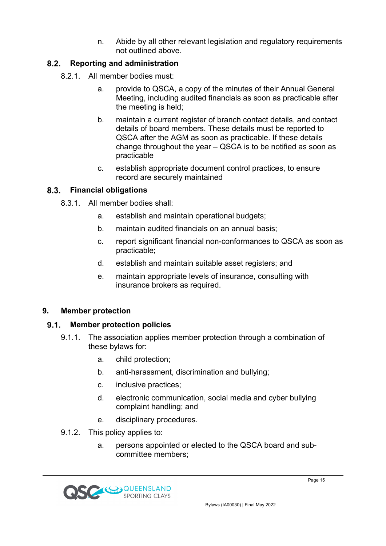n. Abide by all other relevant legislation and regulatory requirements not outlined above.

#### $8.2.$ **Reporting and administration**

- 8.2.1. All member bodies must:
	- a. provide to QSCA, a copy of the minutes of their Annual General Meeting, including audited financials as soon as practicable after the meeting is held;
	- b. maintain a current register of branch contact details, and contact details of board members. These details must be reported to QSCA after the AGM as soon as practicable. If these details change throughout the year – QSCA is to be notified as soon as practicable
	- c. establish appropriate document control practices, to ensure record are securely maintained

### **Financial obligations**

- 8.3.1. All member bodies shall:
	- a. establish and maintain operational budgets;
	- b. maintain audited financials on an annual basis;
	- c. report significant financial non-conformances to QSCA as soon as practicable;
	- d. establish and maintain suitable asset registers; and
	- e. maintain appropriate levels of insurance, consulting with insurance brokers as required.

#### **9. Member protection**

#### $9.1.$ **Member protection policies**

- 9.1.1. The association applies member protection through a combination of these bylaws for:
	- a. child protection;
	- b. anti-harassment, discrimination and bullying;
	- c. inclusive practices;
	- d. electronic communication, social media and cyber bullying complaint handling; and
	- e. disciplinary procedures.
- 9.1.2. This policy applies to:
	- a. persons appointed or elected to the QSCA board and subcommittee members;

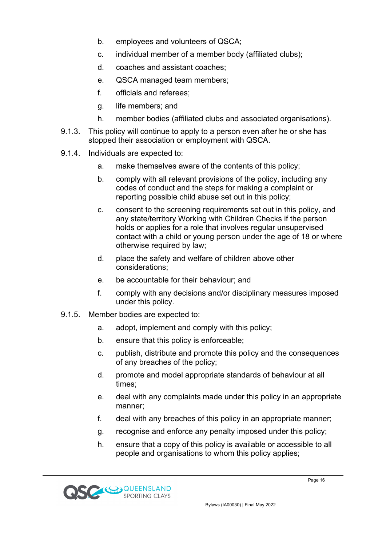- b. employees and volunteers of QSCA;
- c. individual member of a member body (affiliated clubs);
- d. coaches and assistant coaches;
- e. QSCA managed team members;
- f. officials and referees;
- g. life members; and
- h. member bodies (affiliated clubs and associated organisations).
- 9.1.3. This policy will continue to apply to a person even after he or she has stopped their association or employment with QSCA.
- 9.1.4. Individuals are expected to:
	- a. make themselves aware of the contents of this policy;
	- b. comply with all relevant provisions of the policy, including any codes of conduct and the steps for making a complaint or reporting possible child abuse set out in this policy;
	- c. consent to the screening requirements set out in this policy, and any state/territory Working with Children Checks if the person holds or applies for a role that involves regular unsupervised contact with a child or young person under the age of 18 or where otherwise required by law;
	- d. place the safety and welfare of children above other considerations;
	- e. be accountable for their behaviour; and
	- f. comply with any decisions and/or disciplinary measures imposed under this policy.
- 9.1.5. Member bodies are expected to:
	- a. adopt, implement and comply with this policy;
	- b. ensure that this policy is enforceable;
	- c. publish, distribute and promote this policy and the consequences of any breaches of the policy;
	- d. promote and model appropriate standards of behaviour at all times;
	- e. deal with any complaints made under this policy in an appropriate manner;
	- f. deal with any breaches of this policy in an appropriate manner;
	- g. recognise and enforce any penalty imposed under this policy;
	- h. ensure that a copy of this policy is available or accessible to all people and organisations to whom this policy applies;

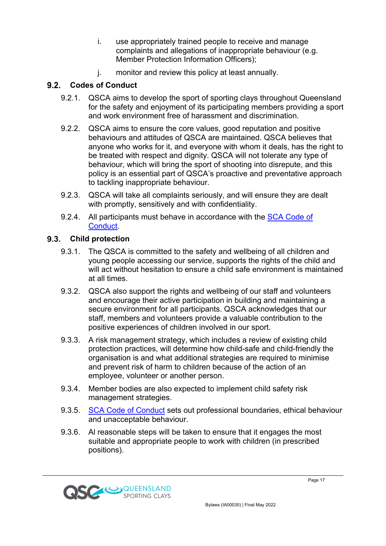- i. use appropriately trained people to receive and manage complaints and allegations of inappropriate behaviour (e.g. Member Protection Information Officers);
- j. monitor and review this policy at least annually.

#### $9.2.$ **Codes of Conduct**

- 9.2.1. QSCA aims to develop the sport of sporting clays throughout Queensland for the safety and enjoyment of its participating members providing a sport and work environment free of harassment and discrimination.
- 9.2.2. QSCA aims to ensure the core values, good reputation and positive behaviours and attitudes of QSCA are maintained. QSCA believes that anyone who works for it, and everyone with whom it deals, has the right to be treated with respect and dignity. QSCA will not tolerate any type of behaviour, which will bring the sport of shooting into disrepute, and this policy is an essential part of QSCA's proactive and preventative approach to tackling inappropriate behaviour.
- 9.2.3. QSCA will take all complaints seriously, and will ensure they are dealt with promptly, sensitively and with confidentiality.
- 9.2.4. All participants must behave in accordance with the SCA Code of Conduct.

### **Child protection**

- 9.3.1. The QSCA is committed to the safety and wellbeing of all children and young people accessing our service, supports the rights of the child and will act without hesitation to ensure a child safe environment is maintained at all times.
- 9.3.2. QSCA also support the rights and wellbeing of our staff and volunteers and encourage their active participation in building and maintaining a secure environment for all participants. QSCA acknowledges that our staff, members and volunteers provide a valuable contribution to the positive experiences of children involved in our sport.
- 9.3.3. A risk management strategy, which includes a review of existing child protection practices, will determine how child-safe and child-friendly the organisation is and what additional strategies are required to minimise and prevent risk of harm to children because of the action of an employee, volunteer or another person.
- 9.3.4. Member bodies are also expected to implement child safety risk management strategies.
- 9.3.5. SCA Code of Conduct sets out professional boundaries, ethical behaviour and unacceptable behaviour.
- 9.3.6. Al reasonable steps will be taken to ensure that it engages the most suitable and appropriate people to work with children (in prescribed positions).

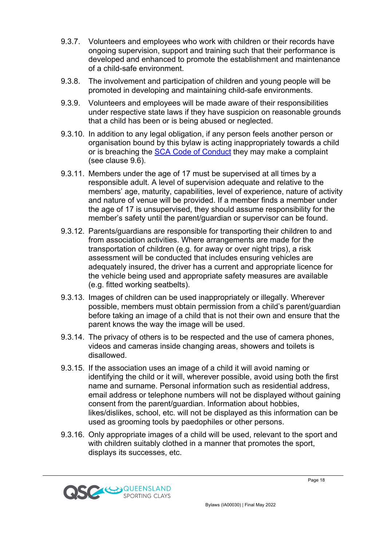- 9.3.7. Volunteers and employees who work with children or their records have ongoing supervision, support and training such that their performance is developed and enhanced to promote the establishment and maintenance of a child-safe environment.
- 9.3.8. The involvement and participation of children and young people will be promoted in developing and maintaining child-safe environments.
- 9.3.9. Volunteers and employees will be made aware of their responsibilities under respective state laws if they have suspicion on reasonable grounds that a child has been or is being abused or neglected.
- 9.3.10. In addition to any legal obligation, if any person feels another person or organisation bound by this bylaw is acting inappropriately towards a child or is breaching the SCA Code of Conduct they may make a complaint (see clause 9.6).
- 9.3.11. Members under the age of 17 must be supervised at all times by a responsible adult. A level of supervision adequate and relative to the members' age, maturity, capabilities, level of experience, nature of activity and nature of venue will be provided. If a member finds a member under the age of 17 is unsupervised, they should assume responsibility for the member's safety until the parent/guardian or supervisor can be found.
- 9.3.12. Parents/guardians are responsible for transporting their children to and from association activities. Where arrangements are made for the transportation of children (e.g. for away or over night trips), a risk assessment will be conducted that includes ensuring vehicles are adequately insured, the driver has a current and appropriate licence for the vehicle being used and appropriate safety measures are available (e.g. fitted working seatbelts).
- 9.3.13. Images of children can be used inappropriately or illegally. Wherever possible, members must obtain permission from a child's parent/guardian before taking an image of a child that is not their own and ensure that the parent knows the way the image will be used.
- 9.3.14. The privacy of others is to be respected and the use of camera phones, videos and cameras inside changing areas, showers and toilets is disallowed.
- 9.3.15. If the association uses an image of a child it will avoid naming or identifying the child or it will, wherever possible, avoid using both the first name and surname. Personal information such as residential address, email address or telephone numbers will not be displayed without gaining consent from the parent/guardian. Information about hobbies, likes/dislikes, school, etc. will not be displayed as this information can be used as grooming tools by paedophiles or other persons.
- 9.3.16. Only appropriate images of a child will be used, relevant to the sport and with children suitably clothed in a manner that promotes the sport. displays its successes, etc.

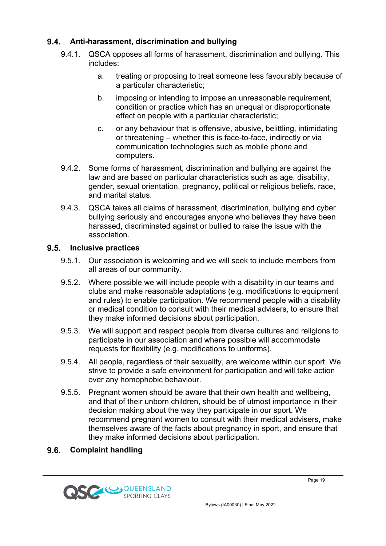## **Anti-harassment, discrimination and bullying**

- 9.4.1. QSCA opposes all forms of harassment, discrimination and bullying. This includes:
	- a. treating or proposing to treat someone less favourably because of a particular characteristic;
	- b. imposing or intending to impose an unreasonable requirement, condition or practice which has an unequal or disproportionate effect on people with a particular characteristic;
	- c. or any behaviour that is offensive, abusive, belittling, intimidating or threatening – whether this is face-to-face, indirectly or via communication technologies such as mobile phone and computers.
- 9.4.2. Some forms of harassment, discrimination and bullying are against the law and are based on particular characteristics such as age, disability, gender, sexual orientation, pregnancy, political or religious beliefs, race, and marital status.
- 9.4.3. QSCA takes all claims of harassment, discrimination, bullying and cyber bullying seriously and encourages anyone who believes they have been harassed, discriminated against or bullied to raise the issue with the association.

#### **Inclusive practices**

- 9.5.1. Our association is welcoming and we will seek to include members from all areas of our community.
- 9.5.2. Where possible we will include people with a disability in our teams and clubs and make reasonable adaptations (e.g. modifications to equipment and rules) to enable participation. We recommend people with a disability or medical condition to consult with their medical advisers, to ensure that they make informed decisions about participation.
- 9.5.3. We will support and respect people from diverse cultures and religions to participate in our association and where possible will accommodate requests for flexibility (e.g. modifications to uniforms).
- 9.5.4. All people, regardless of their sexuality, are welcome within our sport. We strive to provide a safe environment for participation and will take action over any homophobic behaviour.
- 9.5.5. Pregnant women should be aware that their own health and wellbeing, and that of their unborn children, should be of utmost importance in their decision making about the way they participate in our sport. We recommend pregnant women to consult with their medical advisers, make themselves aware of the facts about pregnancy in sport, and ensure that they make informed decisions about participation.

#### $9.6.$ **Complaint handling**

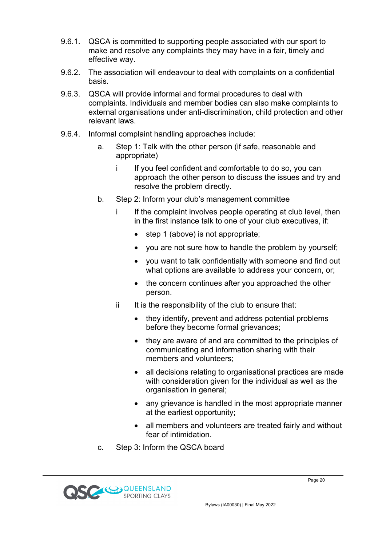- 9.6.1. QSCA is committed to supporting people associated with our sport to make and resolve any complaints they may have in a fair, timely and effective way.
- 9.6.2. The association will endeavour to deal with complaints on a confidential basis.
- 9.6.3. QSCA will provide informal and formal procedures to deal with complaints. Individuals and member bodies can also make complaints to external organisations under anti-discrimination, child protection and other relevant laws.
- 9.6.4. Informal complaint handling approaches include:
	- a. Step 1: Talk with the other person (if safe, reasonable and appropriate)
		- i If you feel confident and comfortable to do so, you can approach the other person to discuss the issues and try and resolve the problem directly.
	- b. Step 2: Inform your club's management committee
		- If the complaint involves people operating at club level, then in the first instance talk to one of your club executives, if:
			- step 1 (above) is not appropriate;
			- you are not sure how to handle the problem by yourself;
			- you want to talk confidentially with someone and find out what options are available to address your concern, or;
			- the concern continues after you approached the other person.
		- $ii$  It is the responsibility of the club to ensure that:
			- they identify, prevent and address potential problems before they become formal grievances;
			- they are aware of and are committed to the principles of communicating and information sharing with their members and volunteers;
			- all decisions relating to organisational practices are made with consideration given for the individual as well as the organisation in general;
			- any grievance is handled in the most appropriate manner at the earliest opportunity;
			- all members and volunteers are treated fairly and without fear of intimidation.
	- c. Step 3: Inform the QSCA board

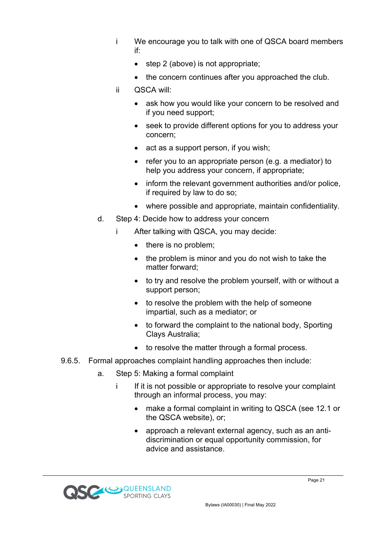- i We encourage you to talk with one of QSCA board members if:
	- step 2 (above) is not appropriate;
	- the concern continues after you approached the club.
- ii QSCA will:
	- ask how you would like your concern to be resolved and if you need support;
	- seek to provide different options for you to address your concern;
	- act as a support person, if you wish;
	- refer you to an appropriate person (e.g. a mediator) to help you address your concern, if appropriate;
	- inform the relevant government authorities and/or police, if required by law to do so;
	- where possible and appropriate, maintain confidentiality.
- d. Step 4: Decide how to address your concern
	- i After talking with QSCA, you may decide:
		- there is no problem;
		- the problem is minor and you do not wish to take the matter forward;
		- to try and resolve the problem yourself, with or without a support person;
		- to resolve the problem with the help of someone impartial, such as a mediator; or
		- to forward the complaint to the national body, Sporting Clays Australia;
		- to resolve the matter through a formal process.
- 9.6.5. Formal approaches complaint handling approaches then include:
	- a. Step 5: Making a formal complaint
		- i If it is not possible or appropriate to resolve your complaint through an informal process, you may:
			- make a formal complaint in writing to QSCA (see 12.1 or the QSCA website), or;
			- approach a relevant external agency, such as an antidiscrimination or equal opportunity commission, for advice and assistance.

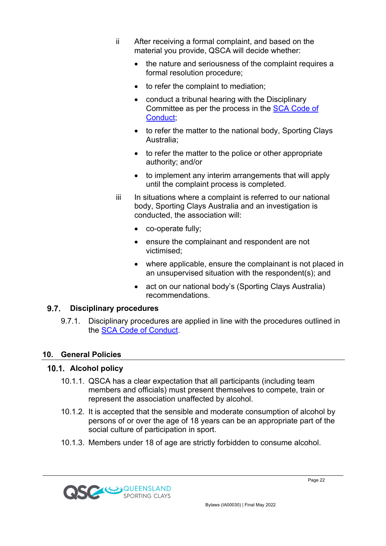- ii After receiving a formal complaint, and based on the material you provide, QSCA will decide whether:
	- the nature and seriousness of the complaint requires a formal resolution procedure;
	- to refer the complaint to mediation;
	- conduct a tribunal hearing with the Disciplinary Committee as per the process in the SCA Code of Conduct;
	- to refer the matter to the national body, Sporting Clays Australia;
	- to refer the matter to the police or other appropriate authority; and/or
	- to implement any interim arrangements that will apply until the complaint process is completed.
- iii In situations where a complaint is referred to our national body, Sporting Clays Australia and an investigation is conducted, the association will:
	- co-operate fully;
	- ensure the complainant and respondent are not victimised;
	- where applicable, ensure the complainant is not placed in an unsupervised situation with the respondent(s); and
	- act on our national body's (Sporting Clays Australia) recommendations.

#### $9.7.$ **Disciplinary procedures**

9.7.1. Disciplinary procedures are applied in line with the procedures outlined in the SCA Code of Conduct.

# **10. General Policies**

# **Alcohol policy**

- 10.1.1. QSCA has a clear expectation that all participants (including team members and officials) must present themselves to compete, train or represent the association unaffected by alcohol.
- 10.1.2. It is accepted that the sensible and moderate consumption of alcohol by persons of or over the age of 18 years can be an appropriate part of the social culture of participation in sport.
- 10.1.3. Members under 18 of age are strictly forbidden to consume alcohol.

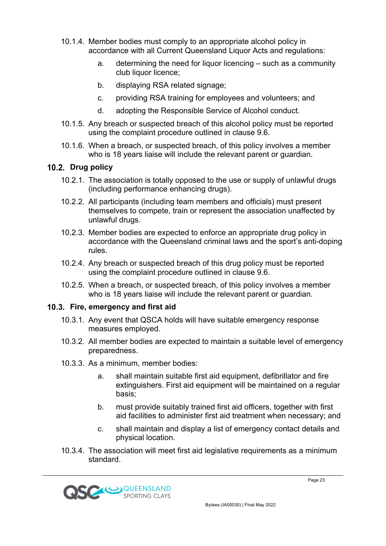- 10.1.4. Member bodies must comply to an appropriate alcohol policy in accordance with all Current Queensland Liquor Acts and regulations:
	- a. determining the need for liquor licencing such as a community club liquor licence;
	- b. displaying RSA related signage;
	- c. providing RSA training for employees and volunteers; and
	- d. adopting the Responsible Service of Alcohol conduct.
- 10.1.5. Any breach or suspected breach of this alcohol policy must be reported using the complaint procedure outlined in clause 9.6.
- 10.1.6. When a breach, or suspected breach, of this policy involves a member who is 18 years liaise will include the relevant parent or guardian.

#### 10.2. Drug policy

- 10.2.1. The association is totally opposed to the use or supply of unlawful drugs (including performance enhancing drugs).
- 10.2.2. All participants (including team members and officials) must present themselves to compete, train or represent the association unaffected by unlawful drugs.
- 10.2.3. Member bodies are expected to enforce an appropriate drug policy in accordance with the Queensland criminal laws and the sport's anti-doping rules.
- 10.2.4. Any breach or suspected breach of this drug policy must be reported using the complaint procedure outlined in clause 9.6.
- 10.2.5. When a breach, or suspected breach, of this policy involves a member who is 18 years liaise will include the relevant parent or guardian.

#### **Fire, emergency and first aid**

- 10.3.1. Any event that QSCA holds will have suitable emergency response measures employed.
- 10.3.2. All member bodies are expected to maintain a suitable level of emergency preparedness.
- 10.3.3. As a minimum, member bodies:
	- a. shall maintain suitable first aid equipment, defibrillator and fire extinguishers. First aid equipment will be maintained on a regular basis;
	- b. must provide suitably trained first aid officers, together with first aid facilities to administer first aid treatment when necessary; and
	- c. shall maintain and display a list of emergency contact details and physical location.
- 10.3.4. The association will meet first aid legislative requirements as a minimum standard.

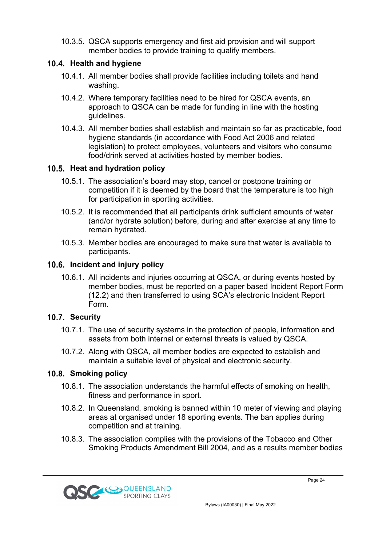10.3.5. QSCA supports emergency and first aid provision and will support member bodies to provide training to qualify members.

### **Health and hygiene**

- 10.4.1. All member bodies shall provide facilities including toilets and hand washing.
- 10.4.2. Where temporary facilities need to be hired for QSCA events, an approach to QSCA can be made for funding in line with the hosting guidelines.
- 10.4.3. All member bodies shall establish and maintain so far as practicable, food hygiene standards (in accordance with Food Act 2006 and related legislation) to protect employees, volunteers and visitors who consume food/drink served at activities hosted by member bodies.

# **Heat and hydration policy**

- 10.5.1. The association's board may stop, cancel or postpone training or competition if it is deemed by the board that the temperature is too high for participation in sporting activities.
- 10.5.2. It is recommended that all participants drink sufficient amounts of water (and/or hydrate solution) before, during and after exercise at any time to remain hydrated.
- 10.5.3. Member bodies are encouraged to make sure that water is available to participants.

# **Incident and injury policy**

10.6.1. All incidents and injuries occurring at QSCA, or during events hosted by member bodies, must be reported on a paper based Incident Report Form (12.2) and then transferred to using SCA's electronic Incident Report Form.

# **10.7. Security**

- 10.7.1. The use of security systems in the protection of people, information and assets from both internal or external threats is valued by QSCA.
- 10.7.2. Along with QSCA, all member bodies are expected to establish and maintain a suitable level of physical and electronic security.

# 10.8. Smoking policy

- 10.8.1. The association understands the harmful effects of smoking on health, fitness and performance in sport.
- 10.8.2. In Queensland, smoking is banned within 10 meter of viewing and playing areas at organised under 18 sporting events. The ban applies during competition and at training.
- 10.8.3. The association complies with the provisions of the Tobacco and Other Smoking Products Amendment Bill 2004, and as a results member bodies



Page 24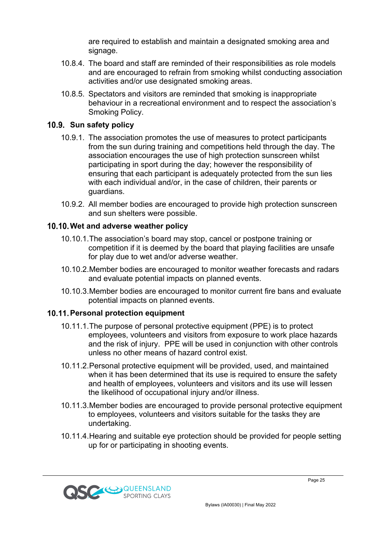are required to establish and maintain a designated smoking area and signage.

- 10.8.4. The board and staff are reminded of their responsibilities as role models and are encouraged to refrain from smoking whilst conducting association activities and/or use designated smoking areas.
- 10.8.5. Spectators and visitors are reminded that smoking is inappropriate behaviour in a recreational environment and to respect the association's Smoking Policy.

#### 10.9. Sun safety policy

- 10.9.1. The association promotes the use of measures to protect participants from the sun during training and competitions held through the day. The association encourages the use of high protection sunscreen whilst participating in sport during the day; however the responsibility of ensuring that each participant is adequately protected from the sun lies with each individual and/or, in the case of children, their parents or guardians.
- 10.9.2. All member bodies are encouraged to provide high protection sunscreen and sun shelters were possible.

#### **Wet and adverse weather policy**

- 10.10.1.The association's board may stop, cancel or postpone training or competition if it is deemed by the board that playing facilities are unsafe for play due to wet and/or adverse weather.
- 10.10.2.Member bodies are encouraged to monitor weather forecasts and radars and evaluate potential impacts on planned events.
- 10.10.3.Member bodies are encouraged to monitor current fire bans and evaluate potential impacts on planned events.

#### **10.11. Personal protection equipment**

- 10.11.1.The purpose of personal protective equipment (PPE) is to protect employees, volunteers and visitors from exposure to work place hazards and the risk of injury. PPE will be used in conjunction with other controls unless no other means of hazard control exist.
- 10.11.2.Personal protective equipment will be provided, used, and maintained when it has been determined that its use is required to ensure the safety and health of employees, volunteers and visitors and its use will lessen the likelihood of occupational injury and/or illness.
- 10.11.3.Member bodies are encouraged to provide personal protective equipment to employees, volunteers and visitors suitable for the tasks they are undertaking.
- 10.11.4.Hearing and suitable eye protection should be provided for people setting up for or participating in shooting events.



Page 25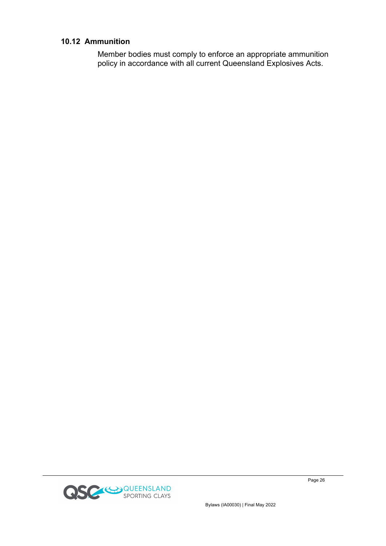#### **10.12 Ammunition**

Member bodies must comply to enforce an appropriate ammunition policy in accordance with all current Queensland Explosives Acts.



Page 26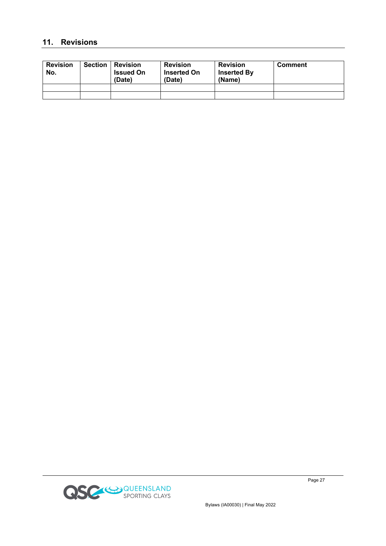#### **11. Revisions**

| <b>Revision</b><br>No. | <b>Section</b> | <b>∣ Revision</b><br><b>Issued On</b><br>(Date) | <b>Revision</b><br><b>Inserted On</b><br>(Date) | <b>Revision</b><br><b>Inserted By</b><br>(Name) | <b>Comment</b> |
|------------------------|----------------|-------------------------------------------------|-------------------------------------------------|-------------------------------------------------|----------------|
|                        |                |                                                 |                                                 |                                                 |                |
|                        |                |                                                 |                                                 |                                                 |                |



Page 27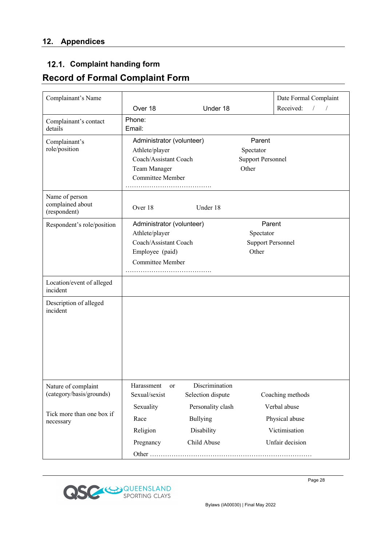# 12.1. Complaint handing form

# **Record of Formal Complaint Form**

| Complainant's Name                                 |                                                                                                                    |                                                    |                                                          | Date Formal Complaint                           |
|----------------------------------------------------|--------------------------------------------------------------------------------------------------------------------|----------------------------------------------------|----------------------------------------------------------|-------------------------------------------------|
|                                                    | Over 18                                                                                                            | Under 18                                           |                                                          | Received:<br>$\overline{1}$                     |
| Complainant's contact<br>details                   | Phone:<br>Email:                                                                                                   |                                                    |                                                          |                                                 |
| Complainant's<br>role/position                     | Administrator (volunteer)<br>Athlete/player<br>Coach/Assistant Coach<br>Team Manager<br>Committee Member           |                                                    | Parent<br>Spectator<br><b>Support Personnel</b><br>Other |                                                 |
| Name of person<br>complained about<br>(respondent) | Over 18                                                                                                            | Under 18                                           |                                                          |                                                 |
| Respondent's role/position                         | Administrator (volunteer)<br>Athlete/player<br>Coach/Assistant Coach<br>Employee (paid)<br><b>Committee Member</b> |                                                    | Parent<br>Spectator<br><b>Support Personnel</b><br>Other |                                                 |
| Location/event of alleged<br>incident              |                                                                                                                    |                                                    |                                                          |                                                 |
| Description of alleged<br>incident                 |                                                                                                                    |                                                    |                                                          |                                                 |
| Nature of complaint<br>(category/basis/grounds)    | Harassment<br>or<br>Sexual/sexist                                                                                  | Discrimination<br>Selection dispute                |                                                          | Coaching methods                                |
| Tick more than one box if<br>necessary             | Sexuality<br>Race<br>Religion                                                                                      | Personality clash<br><b>Bullying</b><br>Disability |                                                          | Verbal abuse<br>Physical abuse<br>Victimisation |
|                                                    | Pregnancy                                                                                                          | Child Abuse                                        |                                                          | Unfair decision                                 |



Bylaws (IA00030) | Final May 2022

Page 28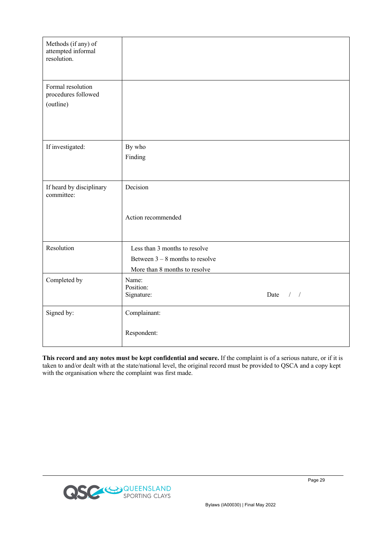| Methods (if any) of<br>attempted informal<br>resolution. |                                                                                                     |
|----------------------------------------------------------|-----------------------------------------------------------------------------------------------------|
| Formal resolution<br>procedures followed<br>(outline)    |                                                                                                     |
| If investigated:                                         | By who<br>Finding                                                                                   |
| If heard by disciplinary<br>committee:                   | Decision<br>Action recommended                                                                      |
| Resolution                                               | Less than 3 months to resolve<br>Between $3 - 8$ months to resolve<br>More than 8 months to resolve |
| Completed by                                             | Name:<br>Position:<br>Signature:<br>Date<br>$/$ /                                                   |
| Signed by:                                               | Complainant:<br>Respondent:                                                                         |

**This record and any notes must be kept confidential and secure.** If the complaint is of a serious nature, or if it is taken to and/or dealt with at the state/national level, the original record must be provided to QSCA and a copy kept with the organisation where the complaint was first made.

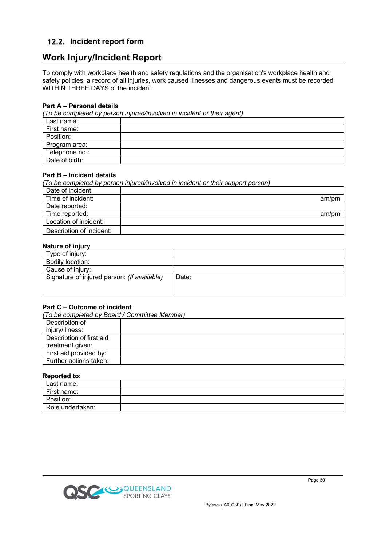#### **Incident report form**

# **Work Injury/Incident Report**

To comply with workplace health and safety regulations and the organisation's workplace health and safety policies, a record of all injuries, work caused illnesses and dangerous events must be recorded WITHIN THREE DAYS of the incident.

#### **Part A – Personal details**

*(To be completed by person injured/involved in incident or their agent)*

| Last name:     |  |
|----------------|--|
| First name:    |  |
| Position:      |  |
| Program area:  |  |
| Telephone no.: |  |
| Date of birth: |  |

#### **Part B – Incident details**

*(To be completed by person injured/involved in incident or their support person)*

| Date of incident:        |       |
|--------------------------|-------|
| Time of incident:        | am/pm |
| Date reported:           |       |
| Time reported:           | am/pm |
| Location of incident:    |       |
| Description of incident: |       |

#### **Nature of injury**

| Type of injury:                             |       |
|---------------------------------------------|-------|
| Bodily location:                            |       |
| Cause of injury:                            |       |
| Signature of injured person: (If available) | Date: |
|                                             |       |
|                                             |       |

#### **Part C – Outcome of incident**

| (To be completed by Board / Committee Member) |  |  |  |  |
|-----------------------------------------------|--|--|--|--|
| Description of                                |  |  |  |  |
| injury/illness:                               |  |  |  |  |
| Description of first aid                      |  |  |  |  |
| treatment given:                              |  |  |  |  |
| First aid provided by:                        |  |  |  |  |
| Further actions taken:                        |  |  |  |  |

#### **Reported to:**

| Last name:       |  |
|------------------|--|
| First name:      |  |
| Position:        |  |
| Role undertaken: |  |